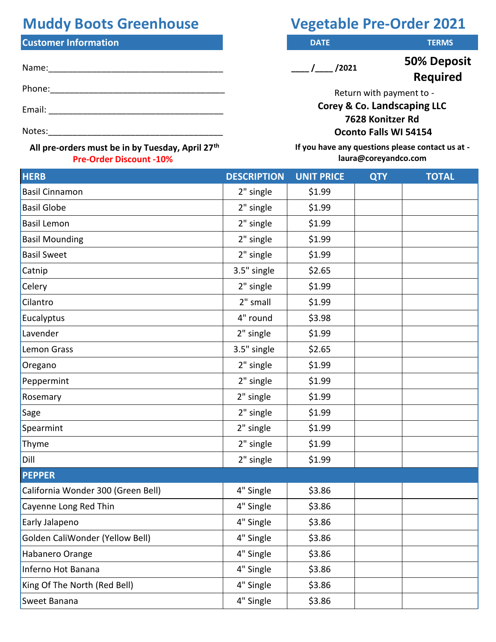## **Muddy Boots Greenhouse Vegetable Pre-Order 2021**

## **Customer Information** *DATE* **DATE DATE DESCRIPTIONS**

| Name:  |  |  |  |
|--------|--|--|--|
| Phone: |  |  |  |
| Email: |  |  |  |
| Notes: |  |  |  |

## **All pre-orders must be in by Tuesday, April 27th Pre-Order Discount -10%**

 $\frac{1}{\sqrt{2021}}$ 

**50% Deposit Required** 

Return with payment to -

**Corey & Co. Landscaping LLC 7628 Konitzer Rd Oconto Falls WI 54154** 

**If you have any questions please contact us at laura@coreyandco.com**

| <b>HERB</b>                        | <b>DESCRIPTION</b> | <b>UNIT PRICE</b> | <b>QTY</b> | <b>TOTAL</b> |
|------------------------------------|--------------------|-------------------|------------|--------------|
| <b>Basil Cinnamon</b>              | 2" single          | \$1.99            |            |              |
| <b>Basil Globe</b>                 | 2" single          | \$1.99            |            |              |
| <b>Basil Lemon</b>                 | 2" single          | \$1.99            |            |              |
| <b>Basil Mounding</b>              | 2" single          | \$1.99            |            |              |
| <b>Basil Sweet</b>                 | 2" single          | \$1.99            |            |              |
| Catnip                             | 3.5" single        | \$2.65            |            |              |
| Celery                             | 2" single          | \$1.99            |            |              |
| Cilantro                           | 2" small           | \$1.99            |            |              |
| Eucalyptus                         | 4" round           | \$3.98            |            |              |
| Lavender                           | 2" single          | \$1.99            |            |              |
| Lemon Grass                        | 3.5" single        | \$2.65            |            |              |
| Oregano                            | 2" single          | \$1.99            |            |              |
| Peppermint                         | 2" single          | \$1.99            |            |              |
| Rosemary                           | 2" single          | \$1.99            |            |              |
| Sage                               | 2" single          | \$1.99            |            |              |
| Spearmint                          | 2" single          | \$1.99            |            |              |
| Thyme                              | 2" single          | \$1.99            |            |              |
| Dill                               | 2" single          | \$1.99            |            |              |
| <b>PEPPER</b>                      |                    |                   |            |              |
| California Wonder 300 (Green Bell) | 4" Single          | \$3.86            |            |              |
| Cayenne Long Red Thin              | 4" Single          | \$3.86            |            |              |
| Early Jalapeno                     | 4" Single          | \$3.86            |            |              |
| Golden CaliWonder (Yellow Bell)    | 4" Single          | \$3.86            |            |              |
| Habanero Orange                    | 4" Single          | \$3.86            |            |              |
| Inferno Hot Banana                 | 4" Single          | \$3.86            |            |              |
| King Of The North (Red Bell)       | 4" Single          | \$3.86            |            |              |
| Sweet Banana                       | 4" Single          | \$3.86            |            |              |